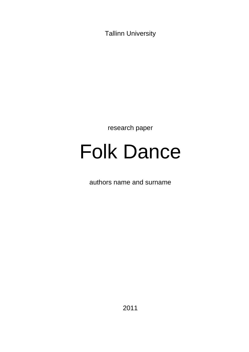Tallinn University

research paper

# Folk Dance

authors name and surname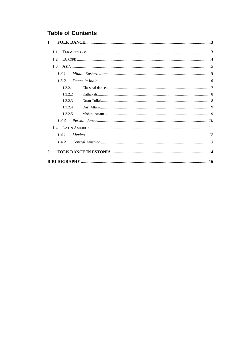# **Table of Contents**

| 1            |
|--------------|
| 1.1          |
| 12           |
| 1.3          |
| 131          |
| 132          |
| 1.3.2.1      |
| 1.3.2.2      |
| 1.3.2.3      |
| 1.3.2.4      |
| 1.3.2.5      |
| 133          |
|              |
| 1.4.1        |
| 1.4.2        |
| $\mathbf{2}$ |
|              |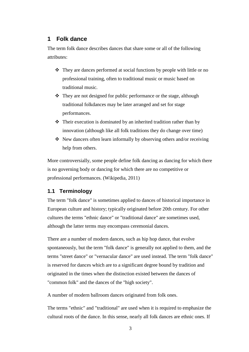# <span id="page-2-0"></span>**1 Folk dance**

The term folk dance describes dances that share some or all of the following attributes:

- $\cdot \cdot$  They are dances performed at social functions by people with little or no professional training, often to traditional music or music based on traditional music.
- $\triangle$  They are not designed for public performance or the stage, although traditional folkdances may be later arranged and set for stage performances.
- $\triangle$  Their execution is dominated by an inherited tradition rather than by innovation (although like all folk traditions they do change over time)
- New dancers often learn informally by observing others and/or receiving help from others.

More controversially, some people define folk dancing as dancing for which there is no governing body or dancing for which there are no competitive or professional performances. (Wikipedia, 2011)

# <span id="page-2-1"></span>**1.1 Terminology**

The term "folk dance" is sometimes applied to dances of historical importance in European culture and history; typically originated before 20th century. For other cultures the terms "ethnic dance" or "traditional dance" are sometimes used, although the latter terms may encompass ceremonial dances.

There are a number of modern dances, such as hip hop dance, that evolve spontaneously, but the term "folk dance" is generally not applied to them, and the terms "street dance" or "vernacular dance" are used instead. The term "folk dance" is reserved for dances which are to a significant degree bound by tradition and originated in the times when the distinction existed between the dances of "common folk" and the dances of the "high society".

A number of modern ballroom dances originated from folk ones.

The terms "ethnic" and "traditional" are used when it is required to emphasize the cultural roots of the dance. In this sense, nearly all folk dances are ethnic ones. If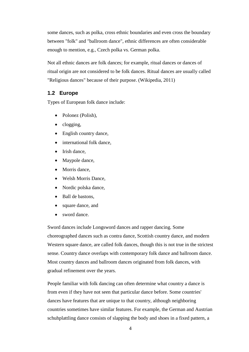some dances, such as polka, cross ethnic boundaries and even cross the boundary between "folk" and "ballroom dance", ethnic differences are often considerable enough to mention, e.g., Czech polka vs. German polka.

Not all ethnic dances are folk dances; for example, ritual dances or dances of ritual origin are not considered to be folk dances. Ritual dances are usually called "Religious dances" because of their purpose. (Wikipedia, 2011)

## <span id="page-3-0"></span>**1.2 Europe**

Types of European folk dance include:

- Polonez (Polish),
- clogging,
- English country dance,
- international folk dance,
- Irish dance.
- Maypole dance,
- Morris dance,
- Welsh Morris Dance.
- Nordic polska dance,
- Ball de bastons,
- square dance, and
- sword dance.

Sword dances include Longsword dances and rapper dancing. Some choreographed dances such as contra dance, Scottish country dance, and modern Western square dance, are called folk dances, though this is not true in the strictest sense. Country dance overlaps with contemporary folk dance and ballroom dance. Most country dances and ballroom dances originated from folk dances, with gradual refinement over the years.

People familiar with folk dancing can often determine what country a dance is from even if they have not seen that particular dance before. Some countries' dances have features that are unique to that country, although neighboring countries sometimes have similar features. For example, the German and Austrian schuhplattling dance consists of slapping the body and shoes in a fixed pattern, a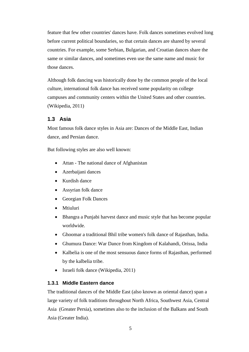feature that few other countries' dances have. Folk dances sometimes evolved long before current political boundaries, so that certain dances are shared by several countries. For example, some Serbian, Bulgarian, and Croatian dances share the same or similar dances, and sometimes even use the same name and music for those dances.

Although folk dancing was historically done by the common people of the local culture, international folk dance has received some popularity on college campuses and community centers within the United States and other countries. (Wikipedia, 2011)

# <span id="page-4-0"></span>**1.3 Asia**

Most famous folk dance styles in Asia are: Dances of the Middle East, Indian dance, and Persian dance.

But following styles are also well known:

- Attan The national dance of Afghanistan
- Azerbaijani dances
- Kurdish dance
- Assyrian folk dance
- Georgian Folk Dances
- Mtiuluri
- Bhangra a Punjabi harvest dance and music style that has become popular worldwide.
- Ghoomar a traditional Bhil tribe women's folk dance of Rajasthan, India.
- Ghumura Dance: War Dance from Kingdom of Kalahandi, Orissa, India
- Kalbelia is one of the most sensuous dance forms of Rajasthan, performed by the kalbelia tribe.
- Israeli folk dance (Wikipedia, 2011)

# <span id="page-4-1"></span>**1.3.1 Middle Eastern dance**

The traditional dances of the Middle East (also known as oriental dance) span a large variety of folk traditions throughout North Africa, Southwest Asia, Central Asia (Greater Persia), sometimes also to the inclusion of the Balkans and South Asia (Greater India).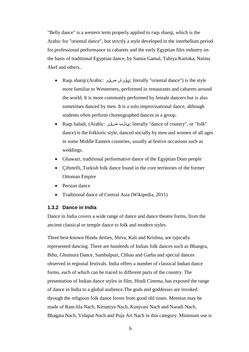"Belly dance" is a western term properly applied to raqs sharqi, which is the Arabic for "oriental dance", but strictly a style developed in the interbellum period for professional performance in cabarets and the early Egyptian film industry on the basis of traditional Egyptian dance, by Samia Gamal, Tahiya Karioka, Naima Akef and others..

- Raqs sharqi (Arabic: عقد ش صرقد; literally "oriental dance") is the style more familiar to Westerners, performed in restaurants and cabarets around the world. It is more commonly performed by female dancers but is also sometimes danced by men. It is a solo improvisational dance, although students often perform choreographed dances in a group.
- Raqs baladi, (Arabic: عدلب صرقد; literally "dance of country", or "folk" dance) is the folkloric style, danced socially by men and women of all ages in some Middle Eastern countries, usually at festive occasions such as weddings.
- Ghawazi, traditional performative dance of the Egyptian Dom people
- Çiftetelli, Turkish folk dance found in the core territories of the former Ottoman Empire
- Persian dance
- Traditional dance of Central Asia (Wikipedia, 2011)

#### <span id="page-5-0"></span>**1.3.2 Dance in India**

Dance in India covers a wide range of dance and dance theatre forms, from the ancient classical or temple dance to folk and modern styles.

Three best-known Hindu deities, Shiva, Kali and Krishna, are typically represented dancing. There are hundreds of Indian folk dances such as Bhangra, Bihu, Ghumura Dance, Sambalpuri, Chhau and Garba and special dances observed in regional festivals. India offers a number of classical Indian dance forms, each of which can be traced to different parts of the country. The presentation of Indian dance styles in film, Hindi Cinema, has exposed the range of dance in India to a global audience.The gods and goddesses are invoked through the religious folk dance forms from good old times. Mention may be made of Ram-lila Nach, Kirtaniya Nach, Kunjvasi Nach and Naradi Nach, Bhagata Nach, Vidapat Nach and Puja Art Nach in this category. Minimum use is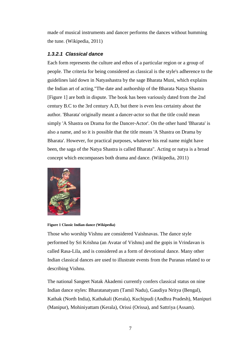made of musical instruments and dancer performs the dances without humming the tune. (Wikipedia, 2011)

## <span id="page-6-0"></span>*1.3.2.1 Classical dance*

Each form represents the culture and ethos of a particular region or a group of people. The criteria for being considered as classical is the style's adherence to the guidelines laid down in Natyashastra by the sage Bharata Muni, which explains the Indian art of acting."The date and authorship of the Bharata Natya Shastra [\[Figure 1\]](#page-6-1) are both in dispute. The book has been variously dated from the 2nd century B.C to the 3rd century A.D, but there is even less certainty about the author. 'Bharata' originally meant a dancer-actor so that the title could mean simply 'A Shastra on Drama for the Dancer-Actor'. On the other hand 'Bharata' is also a name, and so it is possible that the title means 'A Shastra on Drama by Bharata'. However, for practical purposes, whatever his real name might have been, the saga of the Natya Shastra is called Bharata". Acting or natya is a broad concept which encompasses both drama and dance. (Wikipedia, 2011)



#### <span id="page-6-1"></span>**Figure 1 Classic Indian dance (Wikipedia)**

Those who worship Vishnu are considered Vaishnavas. The dance style performed by Sri Krishna (an Avatar of Vishnu) and the gopis in Vrindavan is called Rasa-Lila, and is considered as a form of devotional dance. Many other Indian classical dances are used to illustrate events from the Puranas related to or describing Vishnu.

The national Sangeet Natak Akademi currently confers classical status on nine Indian dance styles: Bharatanatyam (Tamil Nadu), Gaudiya Nritya (Bengal), Kathak (North India), Kathakali (Kerala), Kuchipudi (Andhra Pradesh), Manipuri (Manipur), Mohiniyattam (Kerala), Orissi (Orissa), and Sattriya (Assam).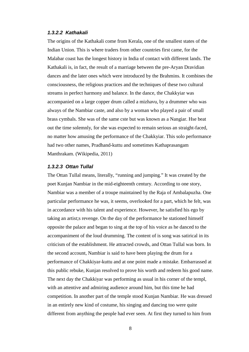#### <span id="page-7-0"></span>*1.3.2.2 Kathakali*

The origins of the Kathakali come from Kerala, one of the smallest states of the Indian Union. This is where traders from other countries first came, for the Malabar coast has the longest history in India of contact with different lands. The Kathakali is, in fact, the result of a marriage between the pre-Aryan Dravidian dances and the later ones which were introduced by the Brahmins. It combines the consciousness, the religious practices and the techniques of these two cultural streams in perfect harmony and balance. In the dance, the Chakkyiar was accompanied on a large copper drum called a mizhavu, by a drummer who was always of the Nambiar caste, and also by a woman who played a pair of small brass cymbals. She was of the same cste but was known as a Nangiar. Hse beat out the time solemnly, for she was expected to remain serious an straight-faced, no matter how amusing the performance of the Chakkyiar. This solo performance had two other names, Pradhand-kuttu and sometimes Kathaprasangam Manthrakam. (Wikipedia, 2011)

#### <span id="page-7-1"></span>*1.3.2.3 Ottan Tullal*

The Ottan Tullal means, literally, "running and jumping." It was created by the poet Kunjan Nambiar in the mid-eighteenth century. According to one story, Nambiar was a member of a troupe maintained by the Raja of Ambalapuzha. One particular performance he was, it seems, overlooked for a part, which he felt, was in accordance with his talent and experience. However, he satisfied his ego by taking an artist;s revenge. On the day of the performance he stationed himself opposite the palace and began to sing at the top of his voice as he danced to the accompaniment of the loud drumming. The content of is song was satirical in its criticism of the establishment. He attracted crowds, and Ottan Tullal was born. In the second account, Nambiar is said to have been playing the drum for a performance of Chakkiyar-kuttu and at one point made a mistake. Embarrassed at this public rebuke, Kunjan resolved to prove his worth and redeem his good name. The next day the Chakkiyar was performing as usual in his corner of the templ, with an attentive and admiring audience around him, but this time he had competition. In another part of the temple stood Kunjan Nambiar. He was dressed in an entirely new kind of costume, his singing and dancing too were quite different from anything the people had ever seen. At first they turned to him from

8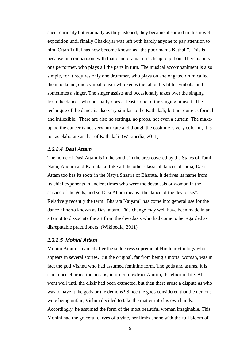sheer curiosity but gradually as they listened, they became absorbed in this novel exposition until finally Chakkiyar was left with hardly anyone to pay attention to him. Ottan Tullal has now become known as "the poor man's Kathali". This is because, in comparison, with that dane-drama, it is cheap to put on. There is only one performer, who plays all the parts in turn. The musical accompaniment is also simple, for it requires only one drummer, who plays on anelongated drum called the maddalam, one cymbal player who keeps the tal on his little cymbals, and sometimes a singer. The singer assists and occasionally takes over the singing from the dancer, who normally does at least some of the singing himself. The technique of the dance is also very similar to the Kathakali, but not quite as formal and inflexible.. There are also no settings, no props, not even a curtain. The makeup od the dancer is not very intricate and though the costume is very colorful, it is not as elaborate as that of Kathakali. (Wikipedia, 2011)

#### <span id="page-8-0"></span>*1.3.2.4 Dasi Attam*

The home of Dasi Attam is in the south, in the area covered by the States of Tamil Nadu, Andhra and Karnataka. Like all the other classical dances of India, Dasi Attam too has its roots in the Natya Shastra of Bharata. It derives its name from its chief exponents in ancient times who were the devadasis or woman in the service of the gods, and so Dasi Attam means "the dance of the devadasis". Relatively recently the term "Bharata Natyam" has come into general use for the dance hitherto known as Dasi attam. This change may well have been made in an attempt to dissociate the art from the devadasis who had come to be regarded as disreputable practitioners. (Wikipedia, 2011)

#### <span id="page-8-1"></span>*1.3.2.5 Mohini Attam*

Mohini Attam is named after the seductress supreme of Hindu mythology who appears in several stories. But the original, far from being a mortal woman, was in fact the god Vishnu who had assumed feminine form. The gods and asuras, it is said, once churned the oceans, in order to extract Amrita, the elixir of life. All went well until the elixir had been extracted, but then there arose a dispute as who was to have it the gods or the demons? Since the gods considered that the demons were being unfair, Vishnu decided to take the matter into his own hands. Accordingly, he assumed the form of the most beautiful woman imaginable. This Mohini had the graceful curves of a vine, her limbs shone with the full bloom of

9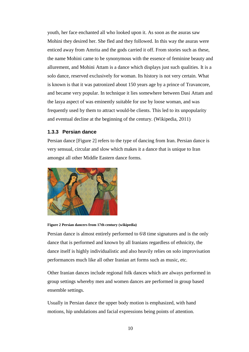youth, her face enchanted all who looked upon it. As soon as the asuras saw Mohini they desired her. She fled and they followed. In this way the asuras were enticed away from Amrita and the gods carried it off. From stories such as these, the name Mohini came to be synonymous with the essence of feminine beauty and allurement, and Mohini Attam is a dance which displays just such qualities. It is a solo dance, reserved exclusively for woman. Its history is not very certain. What is known is that it was patronized about 150 years age by a prince of Travancore, and became very popular. In technique it lies somewhere between Dasi Attam and the lasya aspect of was eminently suitable for use by loose woman, and was frequently used by them to attract would-be clients. This led to its unpopularity and eventual decline at the beginning of the century. (Wikipedia, 2011)

#### <span id="page-9-0"></span>**1.3.3 Persian dance**

Persian dance [\[Figure 2\]](#page-9-1) refers to the type of dancing from Iran. Persian dance is very sensual, circular and slow which makes it a dance that is unique to Iran amongst all other Middle Eastern dance forms.



#### <span id="page-9-1"></span>**Figure 2 Persian dancers from 17th century (wikipedia)**

Persian dance is almost entirely performed to 6\8 time signatures and is the only dance that is performed and known by all Iranians regardless of ethnicity, the dance itself is highly individualistic and also heavily relies on solo improvisation performances much like all other Iranian art forms such as music, etc.

Other Iranian dances include regional folk dances which are always performed in group settings whereby men and women dances are performed in group based ensemble settings.

Usually in Persian dance the upper body motion is emphasized, with hand motions, hip undulations and facial expressions being points of attention.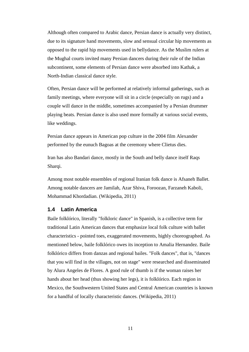Although often compared to Arabic dance, Persian dance is actually very distinct, due to its signature hand movements, slow and sensual circular hip movements as opposed to the rapid hip movements used in bellydance. As the Muslim rulers at the Mughal courts invited many Persian dancers during their rule of the Indian subcontinent, some elements of Persian dance were absorbed into Kathak, a North-Indian classical dance style.

Often, Persian dance will be performed at relatively informal gatherings, such as family meetings, where everyone will sit in a circle (especially on rugs) and a couple will dance in the middle, sometimes accompanied by a Persian drummer playing beats. Persian dance is also used more formally at various social events, like weddings.

Persian dance appears in American pop culture in the 2004 film Alexander performed by the eunuch Bagoas at the ceremony where Clietus dies.

Iran has also Bandari dance, mostly in the South and belly dance itself Raqs Sharqi.

Among most notable ensembles of regional Iranian folk dance is Afsaneh Ballet. Among notable dancers are Jamilah, Azar Shiva, Foroozan, Farzaneh Kaboli, Mohammad Khordadian. (Wikipedia, 2011)

#### <span id="page-10-0"></span>**1.4 Latin America**

Baile folklórico, literally "folkloric dance" in Spanish, is a collective term for traditional Latin American dances that emphasize local folk culture with ballet characteristics - pointed toes, exaggerated movements, highly choreographed. As mentioned below, baile folklórico owes its inception to Amalia Hernandez. Baile folklórico differs from danzas and regional bailes. "Folk dances", that is, "dances that you will find in the villages, not on stage" were researched and disseminated by Alura Angeles de Flores. A good rule of thumb is if the woman raises her hands about her head (thus showing her legs), it is folklórico. Each region in Mexico, the Southwestern United States and Central American countries is known for a handful of locally characteristic dances. (Wikipedia, 2011)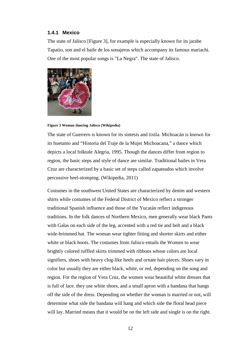#### <span id="page-11-0"></span>**1.4.1 Mexico**

The state of Jalisco [\[Figure 3\]](#page-11-1), for example is especially known for its jarabe Tapatio, son and el baile de los sonajeros which accompany its famous mariachi. One of the most popular songs is "La Negra". The state of Jalisco.



**Figure 3 Woman dancing Jalisco (Wikipedia)**

<span id="page-11-1"></span>The state of Guerrero is known for its sintesis and tixtla. Michoacán is known for its huetamo and "Historia del Traje de la Mujer Michoacana," a dance which depicts a local folktale Alegria, 1995. Though the dances differ from region to region, the basic steps and style of dance are similar. Traditional bailes in Vera Cruz are characterized by a basic set of steps called zapateados which involve percussive heel-stomping. (Wikipedia, 2011)

Costumes in the southwest United States are characterized by denim and western shirts while costumes of the Federal District of Mexico reflect a stronger traditional Spanish influence and those of the Yucatán reflect indigenous traditions. In the folk dances of Northern Mexico, men generally wear black Pants with Galas on each side of the leg, accented with a red tie and belt and a black wide-brimmed hat. The woman wear tighter fitting and shorter skirts and either white or black boots. The costumes from Jalisco entails the Women to wear brightly colored ruffled skirts trimmed with ribbons whose colors are local signifiers, shoes with heavy clog-like heels and ornate hair pieces. Shoes vary in color but usually they are either black, white, or red, depending on the song and region. For the region of Vera Cruz, the women wear beautiful white dresses that is full of lace. they use white shoes, and a small apron with a bandana that hangs off the side of the dress. Depending on whether the woman is married or not, will determine what side the bandana will hang and which side the floral head piece will lay. Married means that it would be on the left side and single is on the right.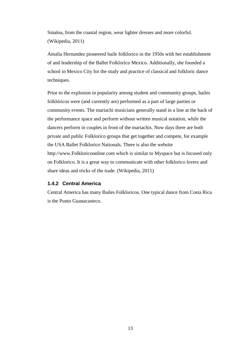Sinaloa, from the coastal region, wear lighter dresses and more colorful. (Wikipedia, 2011)

Amalia Hernandez pioneered baile folklorico in the 1950s with her establishment of and leadership of the Ballet Folklorico Mexico. Additionally, she founded a school in Mexico City for the study and practice of classical and folkloric dance techniques.

Prior to the explosion in popularity among student and community groups, bailes folklóricos were (and currently are) performed as a part of large parties or community events. The mariachi musicians generally stand in a line at the back of the performance space and perform without written musical notation, while the dancers perform in couples in front of the mariachis. Now days there are both private and public Folklorico groups that get together and compete, for example the USA Ballet Folklorico Nationals. There is also the website http://www.Folkloricoonline.com which is similar to Myspace but is focused only on Folklorico. It is a great way to communicate with other folklorico lovers and share ideas and tricks of the trade. (Wikipedia, 2011)

## <span id="page-12-0"></span>**1.4.2 Central America**

Central America has many Bailes Folkloricos. One typical dance from Costa Rica is the Punto Guanacasteco.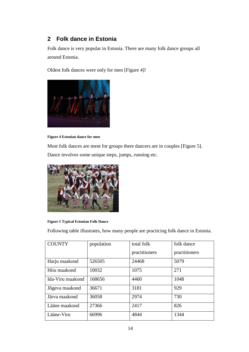# <span id="page-13-0"></span>**2 Folk dance in Estonia**

Folk dance is very popular in Estonia. There are many folk dance groups all around Estonia.

Oldest folk dances were only for men [\[Figure 4\]](#page-13-1)!



**Figure 4 Estonian dance for men**

<span id="page-13-1"></span>Most folk dances are ment for groups there dancers are in couples [\[Figure 5\]](#page-13-2). Dance involves some unique steps, jumps, running etc.



#### <span id="page-13-2"></span>**Figure 5 Typical Estonian Folk Dance**

Following table illustrates, how many people are practicing folk dance in Estonia.

| <b>COUNTY</b>    | population | total folk    | folk dance    |
|------------------|------------|---------------|---------------|
|                  |            | practitioners | practitioners |
| Harju maakond    | 526505     | 24468         | 5079          |
| Hiiu maakond     | 10032      | 1075          | 271           |
| Ida-Viru maakond | 168656     | 4460          | 1048          |
| Jõgeva maakond   | 36671      | 3181          | 929           |
| Järva maakond    | 36058      | 2974          | 730           |
| Lääne maakond    | 27366      | 2417          | 826           |
| Lääne-Viru       | 66996      | 4844          | 1344          |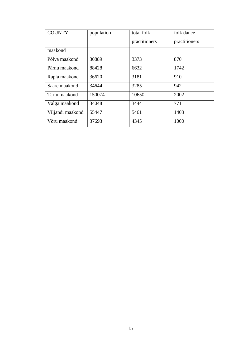| <b>COUNTY</b>    | population | total folk    | folk dance    |
|------------------|------------|---------------|---------------|
|                  |            | practitioners | practitioners |
| maakond          |            |               |               |
| Põlva maakond    | 30889      | 3373          | 870           |
| Pärnu maakond    | 88428      | 6632          | 1742          |
| Rapla maakond    | 36620      | 3181          | 910           |
| Saare maakond    | 34644      | 3285          | 942           |
| Tartu maakond    | 150074     | 10650         | 2002          |
| Valga maakond    | 34048      | 3444          | 771           |
| Viljandi maakond | 55447      | 5461          | 1403          |
| Võru maakond     | 37693      | 4345          | 1000          |